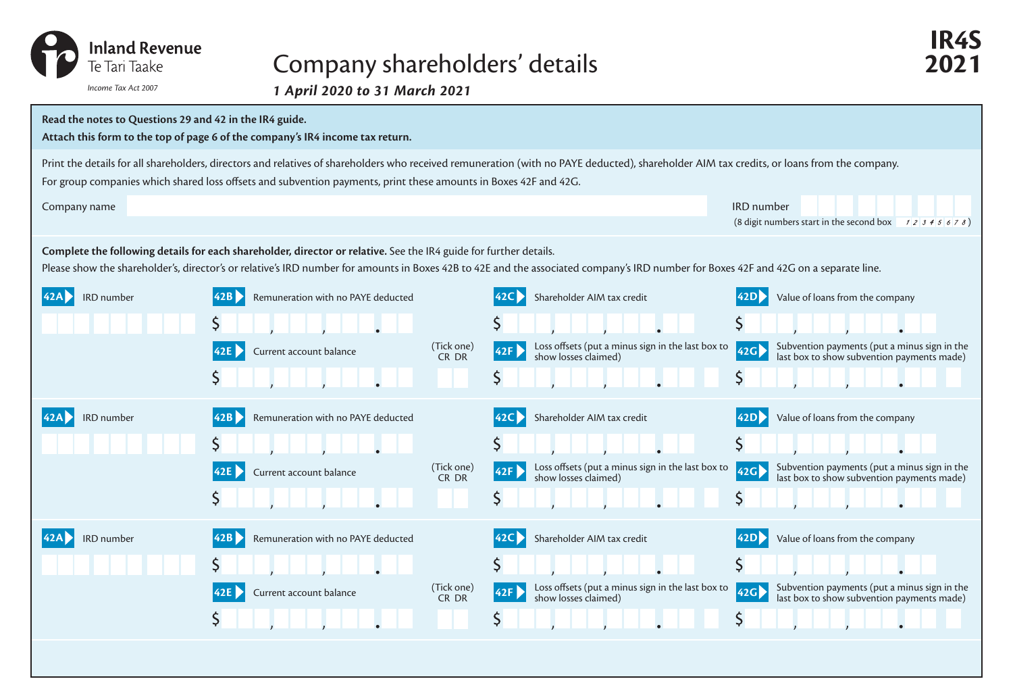

## Company shareholders' details **2021**

*1 April 2020 to 31 March 2021 Income Tax Act 2007*



**IR4S**